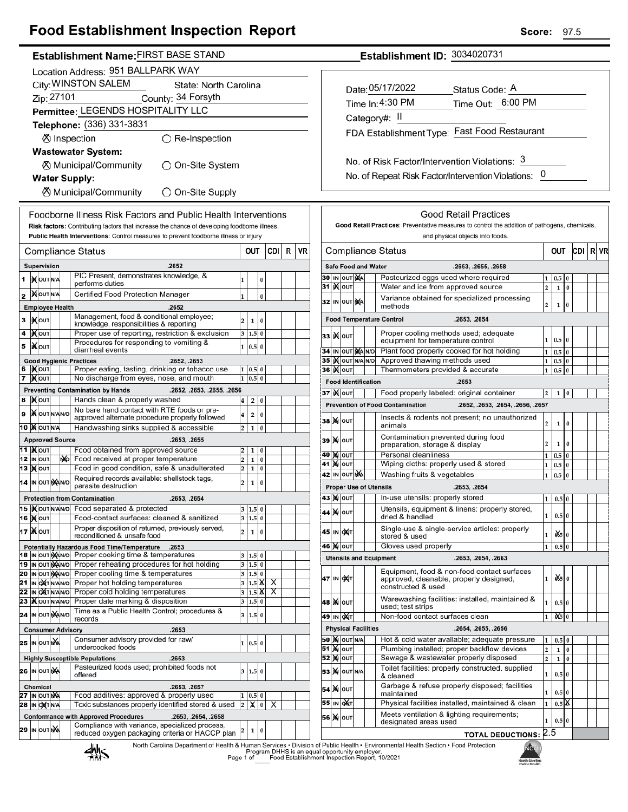# **Food Establishment Inspection Report**

| Establishment Name: FIRST BASE STAND |  |
|--------------------------------------|--|
|                                      |  |

|          | Location Address: 951 BALLPARK WAY           |                            |  |    |                                                                                                                      |                              |                             |          |     |   |    |
|----------|----------------------------------------------|----------------------------|--|----|----------------------------------------------------------------------------------------------------------------------|------------------------------|-----------------------------|----------|-----|---|----|
|          | City: WINSTON SALEM<br>State: North Carolina |                            |  |    |                                                                                                                      |                              |                             |          |     |   |    |
|          | Zip: 27101<br>County: 34 Forsyth             |                            |  |    |                                                                                                                      |                              |                             |          |     |   |    |
|          |                                              |                            |  |    | Permittee: LEGENDS HOSPITALITY LLC                                                                                   |                              |                             |          |     |   |    |
|          |                                              |                            |  |    | Telephone: (336) 331-3831                                                                                            |                              |                             |          |     |   |    |
|          |                                              |                            |  |    | ⊗ Inspection<br>$\bigcirc$ Re-Inspection                                                                             |                              |                             |          |     |   |    |
|          |                                              |                            |  |    | <b>Wastewater System:</b>                                                                                            |                              |                             |          |     |   |    |
|          |                                              |                            |  |    | ⊗ Municipal/Community<br>)On-Site System                                                                             |                              |                             |          |     |   |    |
|          |                                              |                            |  |    | <b>Water Supply:</b>                                                                                                 |                              |                             |          |     |   |    |
|          |                                              |                            |  |    | ⊗ Municipal/Community<br>O On-Site Supply                                                                            |                              |                             |          |     |   |    |
|          |                                              |                            |  |    |                                                                                                                      |                              |                             |          |     |   |    |
|          |                                              |                            |  |    | Foodborne Illness Risk Factors and Public Health Interventions                                                       |                              |                             |          |     |   |    |
|          |                                              |                            |  |    | Risk factors: Contributing factors that increase the chance of developing foodborne illness.                         |                              |                             |          |     |   |    |
|          |                                              |                            |  |    | Public Health Interventions: Control measures to prevent foodborne illness or injury                                 |                              |                             |          |     |   |    |
|          |                                              |                            |  |    | Compliance Status                                                                                                    |                              | OUT                         |          | CDI | R | VF |
|          |                                              | Supervision                |  |    | .2652                                                                                                                |                              |                             |          |     |   |    |
| 1        |                                              | <b>IX</b> OUTINA           |  |    | PIC Present, demonstrates knowledge, &<br>performs duties                                                            | 1                            |                             | 0        |     |   |    |
| 2        |                                              | <b>XOUTINA</b>             |  |    | Certified Food Protection Manager                                                                                    | 1                            |                             | $\bf{0}$ |     |   |    |
|          |                                              | <b>Employee Health</b>     |  |    | .2652                                                                                                                |                              |                             |          |     |   |    |
| 3        |                                              | I)(ou⊤                     |  |    | Management, food & conditional employee;<br>knowledge, responsibilities & reporting                                  | 2                            | 1                           | 0        |     |   |    |
| 4        |                                              | )Х∣о∪т                     |  |    | Proper use of reporting, restriction & exclusion                                                                     | 3                            | 1.5                         | 0        |     |   |    |
| 5        |                                              | i <b>X</b> louт            |  |    | Procedures for responding to vomiting &<br>diarrheal events                                                          | 1                            | 0.5                         | $\bf{0}$ |     |   |    |
|          |                                              |                            |  |    | <b>Good Hygienic Practices</b><br>.2652, .2653                                                                       |                              |                             |          |     |   |    |
| 6        |                                              | IX OUT                     |  |    | Proper eating, tasting, drinking or tobacco use                                                                      | 1                            | 0.5                         | $\bf{0}$ |     |   |    |
| 7        |                                              | ∣) <b>X</b> ∣оυт           |  |    | No discharge from eyes, nose, and mouth                                                                              | $\mathbf{1}$                 | 0.5                         | $\bf{0}$ |     |   |    |
| 8        |                                              | <b>X</b> OUT               |  |    | <b>Preventing Contamination by Hands</b><br>.2652, .2653, .2655, .2656<br>Hands clean & properly washed              | 4                            | 2                           | 0        |     |   |    |
| 9        |                                              | <b>X</b> OUTNANO           |  |    | No bare hand contact with RTE foods or pre-                                                                          | 4                            | 2                           | 0        |     |   |    |
|          |                                              | <b>10 MOUTNA</b>           |  |    | approved alternate procedure properly followed<br>Handwashing sinks supplied & accessible                            | 2                            | 1                           | 0        |     |   |    |
|          |                                              | <b>Approved Source</b>     |  |    | .2653, .2655                                                                                                         |                              |                             |          |     |   |    |
|          |                                              | 11  ) <b>(</b> ouт         |  |    | Food obtained from approved source                                                                                   | 2                            | 1                           | 0        |     |   |    |
| 12<br>13 |                                              | IN OUT<br><b>XOUT</b>      |  | МÞ | Food received at proper temperature<br>Food in good condition, safe & unadulterated                                  | $\overline{\mathbf{c}}$<br>2 | 1<br>1                      | 0<br>0   |     |   |    |
|          |                                              |                            |  |    | Required records available: shellstock tags,                                                                         |                              |                             |          |     |   |    |
|          |                                              | 14 IN OUT NAINO            |  |    | parasite destruction                                                                                                 | 2                            | 1                           | 0        |     |   |    |
|          |                                              |                            |  |    | <b>Protection from Contamination</b><br>.2653, .2654                                                                 |                              |                             |          |     |   |    |
|          |                                              | <b>16 MOUT</b>             |  |    | 15   Nout NANO Food separated & protected<br>Food-contact surfaces: cleaned & sanitized                              |                              | 3  1.5  0<br>3 1.5 0        |          |     |   |    |
|          |                                              | 17   Ж о <b>ит</b>         |  |    | Proper disposition of returned, previously served,                                                                   | 2                            | 1                           | 0        |     |   |    |
|          |                                              |                            |  |    | reconditioned & unsafe food                                                                                          |                              |                             |          |     |   |    |
| 18       |                                              | IN OUT NANO                |  |    | Potentially Hazardous Food Time/Temperature<br>.2653<br>Proper cooking time & temperatures                           | 3                            | 1.5                         | 0        |     |   |    |
|          |                                              | 19 IN OUT NANO             |  |    | Proper reheating procedures for hot holding                                                                          | 3                            | 1.5 0                       |          |     |   |    |
| 20<br>21 |                                              | IN OUT NAINO<br>IN OXTNANO |  |    | Proper cooling time & temperatures<br>Proper hot holding temperatures                                                | 3<br>3                       | 1.5 0<br>$1.5\vert\text{K}$ |          | х   |   |    |
| 22       | IN                                           | OXTN/AN/O                  |  |    | Proper cold holding temperatures                                                                                     | 3                            | 1.5                         | ж        | X   |   |    |
| 23       |                                              | <b>KOUTNANO</b>            |  |    | Proper date marking & disposition<br>Time as a Public Health Control; procedures &                                   | 3                            | 1.5                         | 0        |     |   |    |
| 24       |                                              | IN OUT NANO                |  |    | records                                                                                                              | 3                            | 1.5                         | 0        |     |   |    |
|          |                                              |                            |  |    | <b>Consumer Advisory</b><br>.2653                                                                                    |                              |                             |          |     |   |    |
| 25       |                                              | IN OUT NA                  |  |    | Consumer advisory provided for raw/<br>undercooked foods                                                             | 1                            | 0.5                         | 0        |     |   |    |
|          |                                              |                            |  |    | <b>Highly Susceptible Populations</b><br>.2653                                                                       |                              |                             |          |     |   |    |
|          |                                              | 26 IN OUTINA               |  |    | Pasteurized foods used; prohibited foods not<br>offered                                                              | 3                            | 1.5 0                       |          |     |   |    |
|          |                                              | Chemical                   |  |    | .2653, .2657                                                                                                         |                              |                             |          |     |   |    |
|          |                                              | 27 IN OUT NA               |  |    | Food additives: approved & properly used                                                                             | 1                            | 0.5                         | 0        |     |   |    |
| 28       |                                              | IN OXTNA                   |  |    | Toxic substances properly identified stored & used                                                                   | 2                            | х                           | 0        | X   |   |    |
|          |                                              |                            |  |    | <b>Conformance with Approved Procedures</b><br>.2653, .2654, .2658<br>Compliance with variance, specialized process, |                              |                             |          |     |   |    |
|          |                                              | 29 IN OUT NA               |  |    | reduced oxygen packaging criteria or HACCP plan                                                                      | 2                            | 1                           | 0        |     |   |    |

North Carolina Department of Health & Human Services . Division of Public Health . Environmental Health Section . Food Protection<br>Program DHHS is an equal opportunity employer.<br>Food Establishment Inspection Report, 10/2021



 $\sqrt{ }$ 

Establishment ID: 3034020731

| Date: 05/17/2022                             | Status Code: A    |
|----------------------------------------------|-------------------|
| Time In: 4:30 PM                             | Time Out: 6:00 PM |
| Category#: II                                |                   |
| FDA Establishment Type: Fast Food Restaurant |                   |
|                                              |                   |
|                                              |                   |

No. of Repeat Risk Factor/Intervention Violations: 0

| <b>Good Retail Practices</b>                                                                  |                                                                                                          |                            |  |                                                         |                                                                                                              |                         |                    |          |     |  |      |
|-----------------------------------------------------------------------------------------------|----------------------------------------------------------------------------------------------------------|----------------------------|--|---------------------------------------------------------|--------------------------------------------------------------------------------------------------------------|-------------------------|--------------------|----------|-----|--|------|
| Good Retail Practices: Preventative measures to control the addition of pathogens, chemicals, |                                                                                                          |                            |  |                                                         |                                                                                                              |                         |                    |          |     |  |      |
|                                                                                               | and physical objects into foods.                                                                         |                            |  |                                                         |                                                                                                              |                         |                    |          |     |  |      |
| Compliance Status                                                                             |                                                                                                          |                            |  |                                                         |                                                                                                              | <b>OUT</b>              |                    |          | CDI |  | R VR |
|                                                                                               | <b>Safe Food and Water</b><br>.2653, .2655, .2658                                                        |                            |  |                                                         |                                                                                                              |                         |                    |          |     |  |      |
|                                                                                               |                                                                                                          | 30 IN OUT MA               |  |                                                         | Pasteurized eggs used where required                                                                         | 1                       | 0.5                | 0        |     |  |      |
| 31                                                                                            | X                                                                                                        | OUT                        |  |                                                         | Water and ice from approved source                                                                           | $\overline{2}$          | 1                  | $\bf{0}$ |     |  |      |
|                                                                                               |                                                                                                          | 32 IN OUT NA               |  | Variance obtained for specialized processing<br>methods |                                                                                                              |                         |                    | 0        |     |  |      |
|                                                                                               | <b>Food Temperature Control</b><br>.2653, .2654                                                          |                            |  |                                                         |                                                                                                              |                         |                    |          |     |  |      |
| 33                                                                                            |                                                                                                          | <b>K</b> lout              |  |                                                         | Proper cooling methods used; adequate<br>equipment for temperature control                                   | 1                       | 0.5                | $\bf{0}$ |     |  |      |
| 34                                                                                            |                                                                                                          | IN OUT MANO                |  |                                                         | Plant food properly cooked for hot holding                                                                   | $\mathbf{1}$            | 0.5                | $\bf{0}$ |     |  |      |
| 35                                                                                            |                                                                                                          | IX OUT N/A                 |  | N/O                                                     | Approved thawing methods used                                                                                | 1                       | 0.5                | $\bf{0}$ |     |  |      |
| 36                                                                                            | K                                                                                                        | OUT                        |  |                                                         | Thermometers provided & accurate                                                                             | 1                       | 0.5                | $\bf{0}$ |     |  |      |
|                                                                                               |                                                                                                          | <b>Food Identification</b> |  |                                                         | .2653                                                                                                        |                         |                    |          |     |  |      |
|                                                                                               |                                                                                                          | 37  )( oυτ                 |  |                                                         | Food properly labeled: original container                                                                    | $\overline{2}$          | 1                  | 0        |     |  |      |
|                                                                                               |                                                                                                          |                            |  |                                                         | <b>Prevention of Food Contamination</b><br>.2652, .2653, .2654, .2656, .2657                                 |                         |                    |          |     |  |      |
| 38                                                                                            |                                                                                                          | <b>X</b> OUT               |  |                                                         | Insects & rodents not present; no unauthorized<br>animals                                                    | $\overline{2}$          | 1                  | 0        |     |  |      |
| 39                                                                                            |                                                                                                          | <b>M</b> OUT               |  |                                                         | Contamination prevented during food<br>preparation, storage & display                                        | $\overline{\mathbf{c}}$ | 1                  | $\bf{0}$ |     |  |      |
| 40                                                                                            |                                                                                                          | <b>X</b> OUT               |  |                                                         | Personal cleanliness                                                                                         | 1                       | 0.5                | 0        |     |  |      |
| 41                                                                                            |                                                                                                          | <b>N</b> OUT               |  |                                                         | Wiping cloths: properly used & stored                                                                        | $\mathbf{1}$            | 0.5                | $\bf{0}$ |     |  |      |
|                                                                                               | 42 ΙΝ ΟUT NA<br>Washing fruits & vegetables<br>$\mathbf{1}$<br>0.5<br>0<br><b>Proper Use of Utensils</b> |                            |  |                                                         |                                                                                                              |                         |                    |          |     |  |      |
|                                                                                               |                                                                                                          |                            |  |                                                         | .2653, .2654                                                                                                 |                         |                    |          |     |  |      |
|                                                                                               |                                                                                                          | 43   ) ф   оит             |  |                                                         | In-use utensils: properly stored                                                                             | 1                       | 0.5                | $\bf{0}$ |     |  |      |
| 44                                                                                            | M                                                                                                        | OUT                        |  |                                                         | Utensils, equipment & linens: properly stored,<br>dried & handled                                            | 1                       | 0.5 0              |          |     |  |      |
| 45                                                                                            | IN                                                                                                       | <b>DXT</b>                 |  |                                                         | Single-use & single-service articles: properly<br>0X5I<br>1<br>$\bf{0}$<br>stored & used                     |                         |                    |          |     |  |      |
|                                                                                               | Gloves used properly<br>46   ) (   ouт<br>$\mathbf{1}$<br>0.5<br>0                                       |                            |  |                                                         |                                                                                                              |                         |                    |          |     |  |      |
|                                                                                               |                                                                                                          |                            |  |                                                         | <b>Utensils and Equipment</b><br>.2653, .2654, .2663                                                         |                         |                    |          |     |  |      |
| 47                                                                                            |                                                                                                          | IN <b>DAT</b>              |  |                                                         | Equipment, food & non-food contact surfaces<br>approved, cleanable, properly designed,<br>constructed & used | 1                       | oX≶lo              |          |     |  |      |
|                                                                                               |                                                                                                          | 48  <b>)(</b>   Ουτ        |  |                                                         | Warewashing facilities: installed, maintained &<br>used; test strips                                         | 1                       | 0.5 0              |          |     |  |      |
|                                                                                               |                                                                                                          | 49 IN OAT                  |  |                                                         | Non-food contact surfaces clean                                                                              | 1                       | O\$                | $\Omega$ |     |  |      |
| <b>Physical Facilities</b><br>.2654, .2655, .2656                                             |                                                                                                          |                            |  |                                                         |                                                                                                              |                         |                    |          |     |  |      |
|                                                                                               |                                                                                                          | <b>50   X</b>   OUT   N/A  |  |                                                         | Hot & cold water available; adequate pressure                                                                | 1                       | 0.5                | $\bf{0}$ |     |  |      |
|                                                                                               |                                                                                                          | 51   <b>X</b>   оит        |  |                                                         | Plumbing installed; proper backflow devices                                                                  | $\overline{\mathbf{c}}$ | $\mathbf{1}$       | $\bf{0}$ |     |  |      |
|                                                                                               |                                                                                                          | 52 )х(∣о∪т                 |  |                                                         | Sewage & wastewater properly disposed                                                                        | $\overline{2}$          | 1                  | $\bf{0}$ |     |  |      |
| 53                                                                                            |                                                                                                          | <b>X</b> OUT N/A           |  |                                                         | Toilet facilities: properly constructed, supplied<br>& cleaned                                               | 1                       | 0.5                | $\bf{0}$ |     |  |      |
| 54                                                                                            |                                                                                                          | <b>X</b> OUT               |  |                                                         | Garbage & refuse properly disposed; facilities<br>maintained                                                 | 1                       | 0.5                | $\theta$ |     |  |      |
| 55                                                                                            |                                                                                                          | IN QAT                     |  |                                                         | Physical facilities installed, maintained & clean                                                            | $\mathbf{1}$            | $0.5$ $\mathbb{X}$ |          |     |  |      |
| 56                                                                                            | M                                                                                                        | OUT                        |  |                                                         | Meets ventilation & lighting requirements;<br>designated areas used                                          | 1                       | 0.5                | $\bf{0}$ |     |  |      |
|                                                                                               | <b>TOTAL DEDUCTIONS: 2.5</b>                                                                             |                            |  |                                                         |                                                                                                              |                         |                    |          |     |  |      |

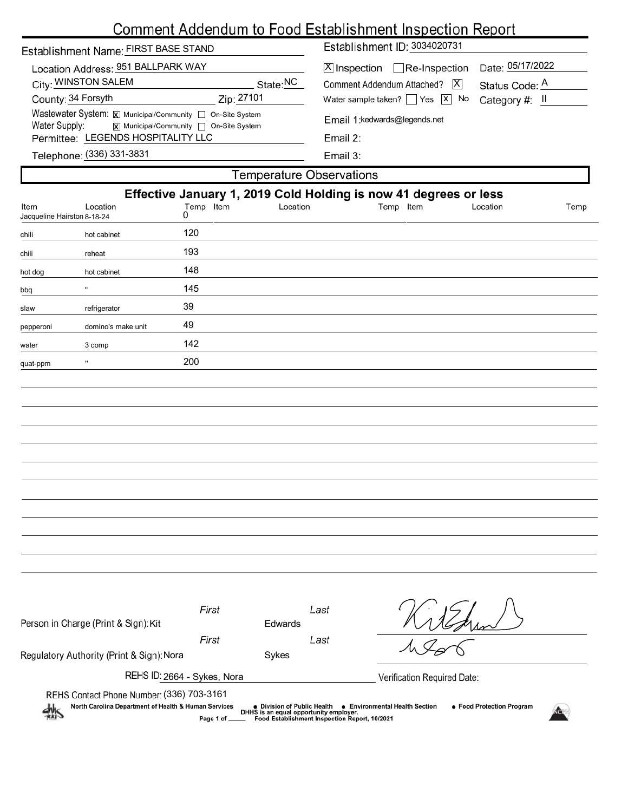|                                                 |                                                                                                     | <b>Comment Addendum to Food Establishment Inspection Report</b>  |      |  |  |  |  |  |
|-------------------------------------------------|-----------------------------------------------------------------------------------------------------|------------------------------------------------------------------|------|--|--|--|--|--|
| Establishment Name: FIRST BASE STAND            |                                                                                                     | Establishment ID: 3034020731                                     |      |  |  |  |  |  |
| Location Address: 951 BALLPARK WAY              |                                                                                                     | Date: 05/17/2022<br>$X$ Inspection Re-Inspection                 |      |  |  |  |  |  |
| City: WINSTON SALEM                             | State:NC                                                                                            | Comment Addendum Attached?<br>$ \mathsf{X} $<br>Status Code: A   |      |  |  |  |  |  |
| County: 34 Forsyth                              | Zip: 27101                                                                                          | Water sample taken? $\Box$ Yes $\Box$ No<br>Category #: II       |      |  |  |  |  |  |
| Water Supply:                                   | Wastewater System: X Municipal/Community   On-Site System<br>X Municipal/Community □ On-Site System | Email 1:kedwards@legends.net                                     |      |  |  |  |  |  |
| Permittee: LEGENDS HOSPITALITY LLC              |                                                                                                     | Email 2:                                                         |      |  |  |  |  |  |
| Telephone: (336) 331-3831                       |                                                                                                     | Email 3:                                                         |      |  |  |  |  |  |
|                                                 |                                                                                                     | <b>Temperature Observations</b>                                  |      |  |  |  |  |  |
|                                                 |                                                                                                     | Effective January 1, 2019 Cold Holding is now 41 degrees or less |      |  |  |  |  |  |
| Location<br>Item<br>Jacqueline Hairston 8-18-24 | Temp Item<br>Location<br>0                                                                          | Temp Item<br>Location                                            | Temp |  |  |  |  |  |
| hot cabinet<br>chili                            | 120                                                                                                 |                                                                  |      |  |  |  |  |  |
| reheat<br>chili                                 | 193                                                                                                 |                                                                  |      |  |  |  |  |  |
| hot cabinet<br>hot dog                          | 148                                                                                                 |                                                                  |      |  |  |  |  |  |
| pdd                                             | 145                                                                                                 |                                                                  |      |  |  |  |  |  |
| refrigerator<br>slaw                            | 39                                                                                                  |                                                                  |      |  |  |  |  |  |
| domino's make unit<br>pepperoni                 | 49                                                                                                  |                                                                  |      |  |  |  |  |  |
| 3 comp<br>water                                 | 142                                                                                                 |                                                                  |      |  |  |  |  |  |
| Ħ<br>quat-ppm                                   | 200                                                                                                 |                                                                  |      |  |  |  |  |  |
|                                                 |                                                                                                     |                                                                  |      |  |  |  |  |  |
|                                                 |                                                                                                     |                                                                  |      |  |  |  |  |  |
|                                                 |                                                                                                     |                                                                  |      |  |  |  |  |  |
|                                                 |                                                                                                     |                                                                  |      |  |  |  |  |  |
|                                                 |                                                                                                     |                                                                  |      |  |  |  |  |  |
|                                                 |                                                                                                     |                                                                  |      |  |  |  |  |  |
|                                                 |                                                                                                     |                                                                  |      |  |  |  |  |  |
|                                                 |                                                                                                     |                                                                  |      |  |  |  |  |  |

| Person in Charge (Print & Sign): Kit                                                              | First          | <b>Edwards</b>              | Last                                                                                    |                                                                    |
|---------------------------------------------------------------------------------------------------|----------------|-----------------------------|-----------------------------------------------------------------------------------------|--------------------------------------------------------------------|
|                                                                                                   | First          |                             | Last                                                                                    |                                                                    |
| Regulatory Authority (Print & Sign): Nora                                                         |                | Sykes                       |                                                                                         |                                                                    |
| REHS ID: 2664 - Sykes, Nora                                                                       |                |                             |                                                                                         | Verification Required Date:                                        |
| REHS Contact Phone Number: (336) 703-3161<br>North Carolina Department of Health & Human Services | Page 1 of ____ | ● Division of Public Health | DHHS is an equal opportunity employer.<br>Food Establishment Inspection Report, 10/2021 | <b>e</b> Environmental Health Section<br>• Food Protection Program |